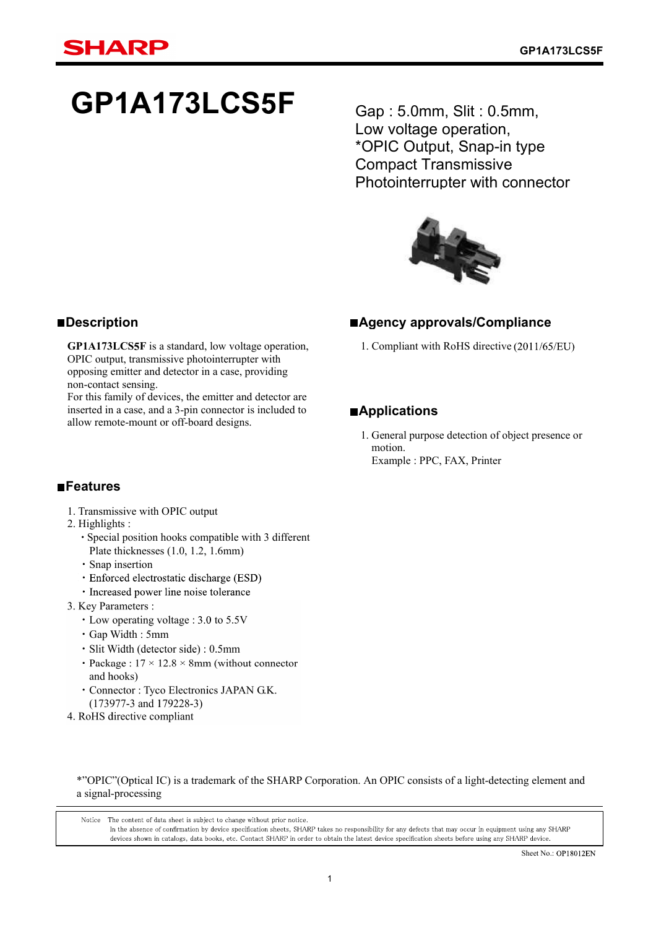# **GP1A173LCS3F**

Gap : 5.0mm, Slit : 0.5mm, Low voltage operation, \*OPIC Output, Snap-in type Compact Transmissive Photointerrupter with connector



### **Agency approvals/Compliance**

1. Compliant with RoHS directive (2011/65/EU)

### **Applications**

1. General purpose detection of object presence or motion. Example : PPC, FAX, Printer

### **Description**

**GP1A173LCS3F** is a standard, low voltage operation, OPIC output, transmissive photointerrupter with opposing emitter and detector in a case, providing non-contact sensing.

For this family of devices, the emitter and detector are inserted in a case, and a 3-pin connector is included to allow remote-mount or off-board designs.

### **Features**

- 1. Transmissive with OPIC output
- 2. Highlights :
	- Special position hooks compatible with 3 different Plate thicknesses (1.0, 1.2, 1.6mm)
	- Snap insertion
	- Enforced electrostatic discharge (ESD)
	- · Increased power line noise tolerance
- 3. Key Parameters :
	- $\cdot$  Low operating voltage : 3.0 to 5.5V
	- $\cdot$  Gap Width: 5mm
	- · Slit Width (detector side) : 0.5mm
	- Package :  $17 \times 12.8 \times 8$ mm (without connector and hooks)
	- Connector : Tyco Electronics JAPAN G.K.  $(173977 - 3$  and  $179228 - 3)$
- 4. RoHS directive compliant

#### \*"OPIC"(Optical IC) is a trademark of the SHARP Corporation. An OPIC consists of a light-detecting element and a signal-processing

Notice The content of data sheet is subject to change without prior notice. In the absence of confirmation by device specification sheets, SHARP takes no responsibility for any defects that may occur in equipment using any SHARP devices shown in catalogs, data books, etc. Contact SHARP in order to obtain the latest device specification sheets before using any SHARP device.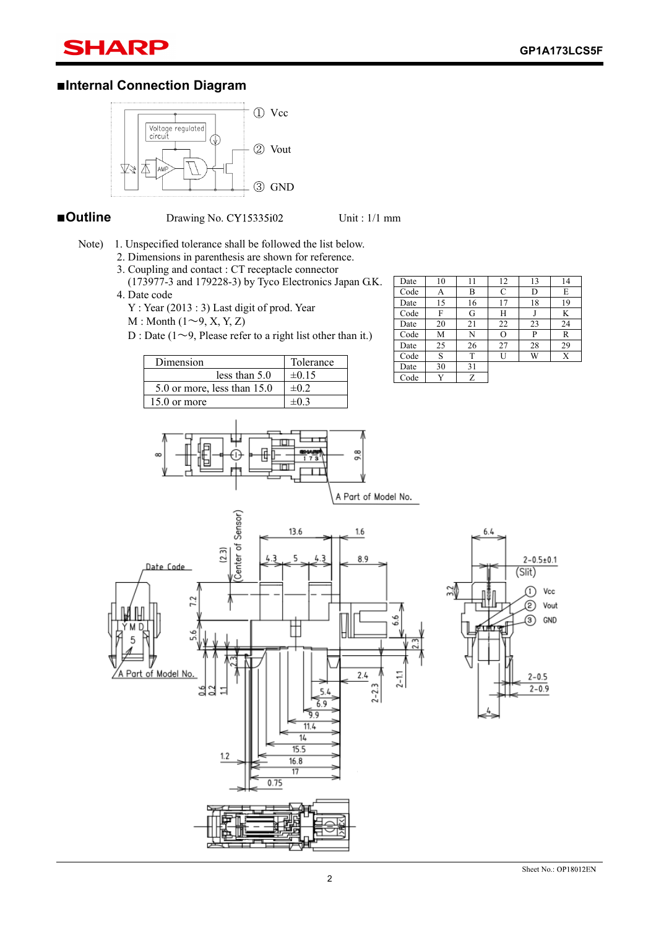### SHARP

### **Internal Connection Diagram**



**Outline** Drawing No. CY15335i02 Unit : 1/1 mm

- Note) 1. Unspecified tolerance shall be followed the list below.
	- 2. Dimensions in parenthesis are shown for reference.
	- 3. Coupling and contact : CT receptacle connector
	- (173977-3 and 179228-3) by Tyco Electronics Japan G.K. 4. Date code
		- Y : Year (2013 : 3) Last digit of prod. Year
		- $M : \text{Month } (1 \sim 9, X, Y, Z)$
		- D : Date ( $1 \sim 9$ , Please refer to a right list other than it.)

| Dimension                   | Tolerance    |
|-----------------------------|--------------|
| less than $5.0$             | $\pm 0.15$   |
| 5.0 or more, less than 15.0 | $\pm 0.2$    |
| $15.0$ or more              | $+0^{\circ}$ |



| Date | 10 | 11 | 12 | 13 | 14 |
|------|----|----|----|----|----|
| Code | А  | B  | C  | D  | E  |
| Date | 15 | 16 | 17 | 18 | 19 |
| Code | F  | G  | Н  |    | K  |
| Date | 20 | 21 | 22 | 23 | 24 |
| Code | M  | N  | О  | P  | R  |
| Date | 25 | 26 | 27 | 28 | 29 |
| Code | S  | T  | U  | W  | Х  |
| Date | 30 | 31 |    |    |    |
| Code | v  | Ζ  |    |    |    |



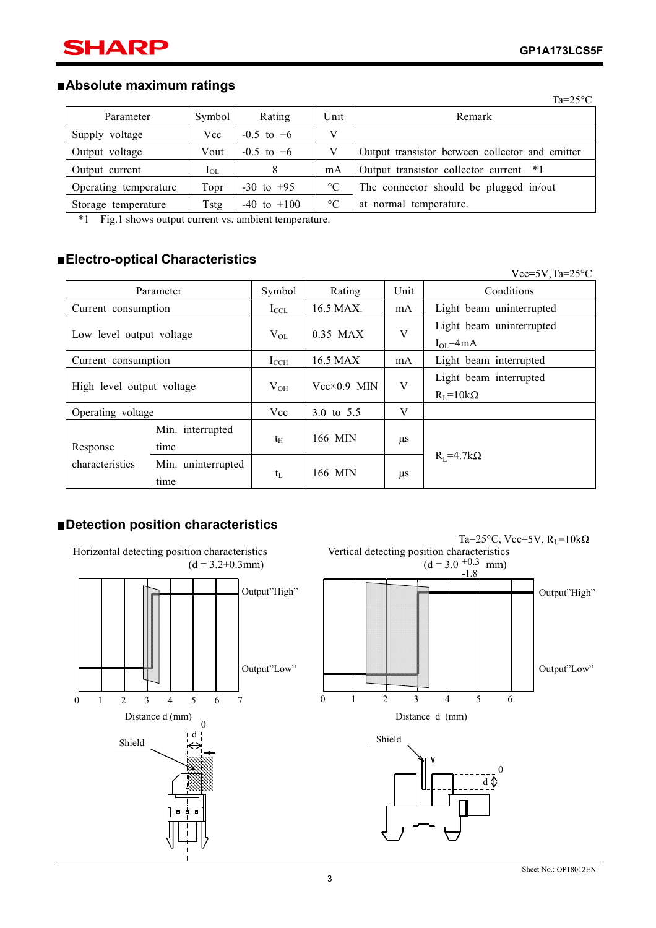### **Absolute maximum ratings**

|                       |                                     |                                                                                                                                                                                                                                |                 | $Ta=25^{\circ}C$                                |
|-----------------------|-------------------------------------|--------------------------------------------------------------------------------------------------------------------------------------------------------------------------------------------------------------------------------|-----------------|-------------------------------------------------|
| Parameter             | Symbol                              | Rating                                                                                                                                                                                                                         | Unit            | Remark                                          |
| Supply voltage        | Vcc                                 | $-0.5$ to $+6$                                                                                                                                                                                                                 | V               |                                                 |
| Output voltage        | Vout                                | $-0.5$ to $+6$                                                                                                                                                                                                                 | V               | Output transistor between collector and emitter |
| Output current        | $I_{OL}$                            | 8                                                                                                                                                                                                                              | mA              | Output transistor collector current *1          |
| Operating temperature | Topr                                | $-30$ to $+95$                                                                                                                                                                                                                 | $\rm ^{\circ}C$ | The connector should be plugged in/out          |
| Storage temperature   | Tstg                                | $-40$ to $+100$                                                                                                                                                                                                                | $\rm ^{\circ}C$ | at normal temperature.                          |
|                       | the contract of the contract of the | the state of the state of the state of the state of the state of the state of the state of the state of the state of the state of the state of the state of the state of the state of the state of the state of the state of t |                 |                                                 |

\*1 Fig.1 shows output current vs. ambient temperature.

### **Electro-optical Characteristics**

|                           |                            |               |                      |         | $Vcc=5V$ , Ta= $25^{\circ}C$                    |
|---------------------------|----------------------------|---------------|----------------------|---------|-------------------------------------------------|
| Parameter                 |                            | Symbol        | Rating               | Unit    | Conditions                                      |
| Current consumption       |                            | $I_{\rm CCL}$ | 16.5 MAX.            | mA      | Light beam uninterrupted                        |
| Low level output voltage  |                            | $V_{OL}$      | $0.35$ MAX           | V       | Light beam uninterrupted<br>$I_{\Omega I}$ =4mA |
| Current consumption       |                            | $I_{\rm CCH}$ | 16.5 MAX             | mA      | Light beam interrupted                          |
| High level output voltage |                            | $V_{OH}$      | $Vec \times 0.9$ MIN | V       | Light beam interrupted<br>$R_{I} = 10k\Omega$   |
| Operating voltage         |                            | Vcc           | 3.0 to 5.5           | V       |                                                 |
| Response                  | Min. interrupted<br>time   | $t_{\rm H}$   | 166 MIN              | $\mu$ s |                                                 |
| characteristics           | Min. uninterrupted<br>time | $t_L$         | 166 MIN              | $\mu$ s | $R_I = 4.7k\Omega$                              |

### **Detection position characteristics**

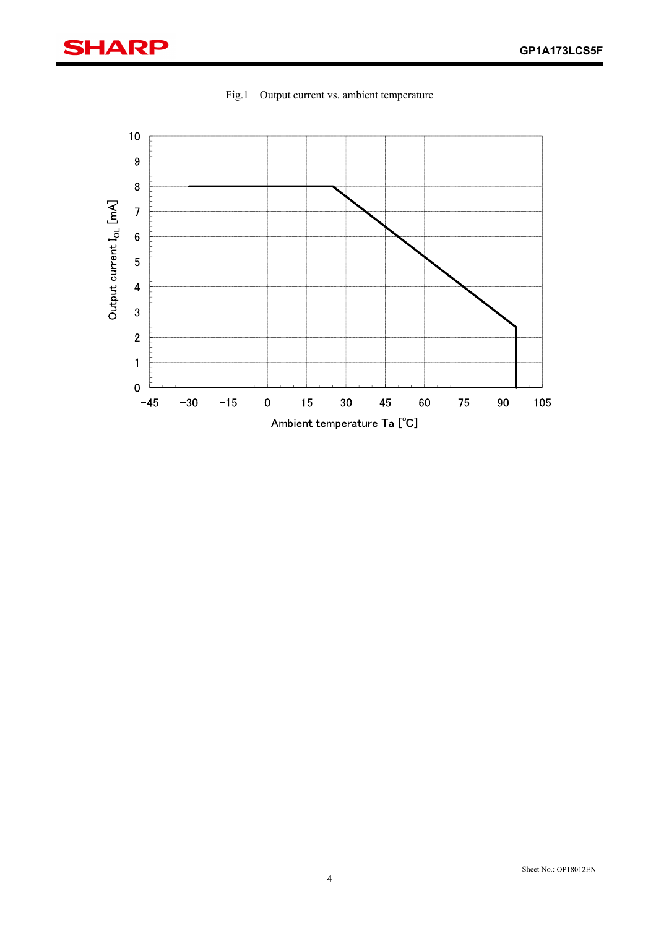

Fig.1 Output current vs. ambient temperature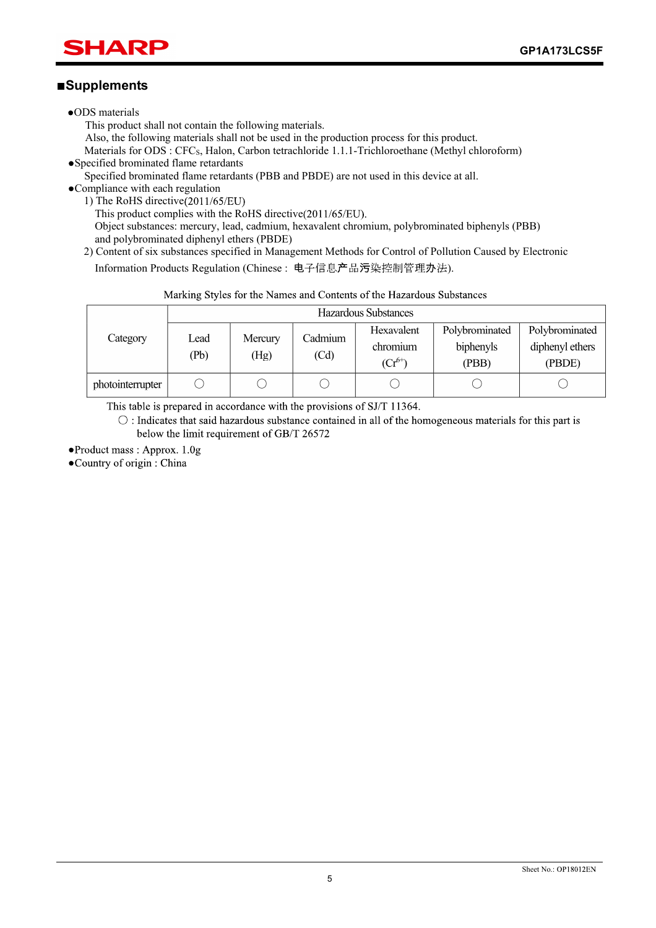### SHARP

### **Supplements**

- ODS materials
	- This product shall not contain the following materials.

Also, the following materials shall not be used in the production process for this product.

Materials for ODS : CFC<sub>S</sub>, Halon, Carbon tetrachloride 1.1.1-Trichloroethane (Methyl chloroform)

Specified brominated flame retardants

Specified brominated flame retardants (PBB and PBDE) are not used in this device at all.

Compliance with each regulation 1) The RoHS directive $(2011/65/EU)$ 

This product complies with the RoHS directive $(2011/65/EU)$ . Object substances: mercury, lead, cadmium, hexavalent chromium, polybrominated biphenyls (PBB) and polybrominated diphenyl ethers (PBDE)

2) Content of six substances specified in Management Methods for Control of Pollution Caused by Electronic Information Products Regulation (Chinese: 电子信息产品污染控制管理办法).

| Marking Styles for the Natiles and Contents of the Hazardous Substances |              |                 |                 |                                       |                                      |                                             |
|-------------------------------------------------------------------------|--------------|-----------------|-----------------|---------------------------------------|--------------------------------------|---------------------------------------------|
|                                                                         |              |                 |                 | Hazardous Substances                  |                                      |                                             |
| Category                                                                | Lead<br>(Pb) | Mercury<br>(Hg) | Cadmium<br>(Cd) | Hexavalent<br>chromium<br>$(Cr^{6+})$ | Polybrominated<br>biphenyls<br>(PBB) | Polybrominated<br>diphenyl ethers<br>(PBDE) |
| photointerrupter                                                        |              |                 |                 |                                       |                                      |                                             |

Toxic and hazardous substances

This table is prepared in accordance with the provisions of SJ/T 11364.

 $\circ$ : Indicates that said hazardous substance contained in all of the homogeneous materials for this part is below the limit requirement of GB/T 26572

• Product mass: Approx. 1.0g

•Country of origin : China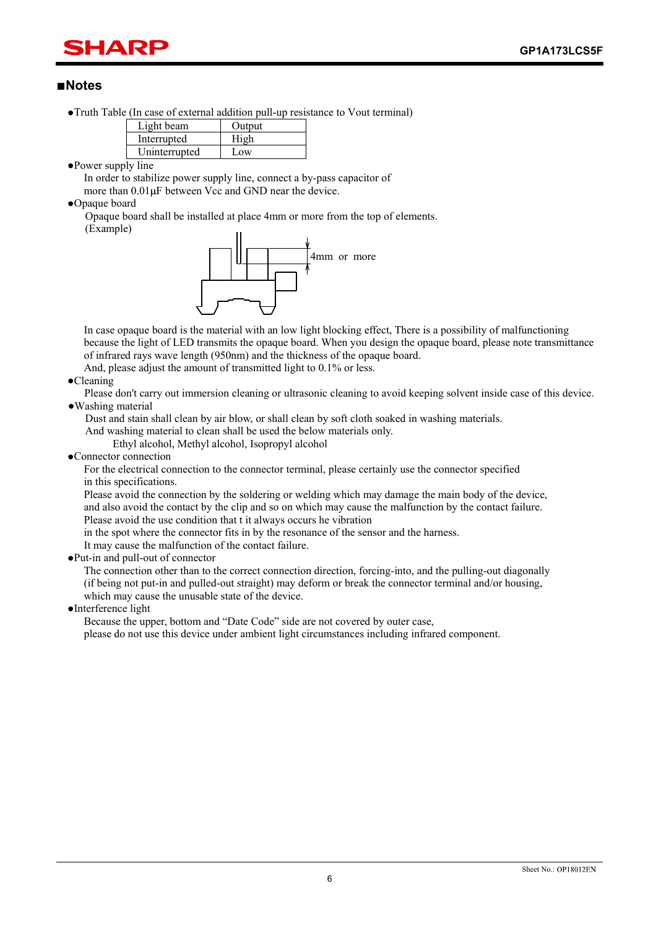## HAR

### **Notes**

Truth Table (In case of external addition pull-up resistance to Vout terminal)

| Light beam    | Output |
|---------------|--------|
| Interrupted   | High   |
| Uninterrupted | Low    |

Power supply line

In order to stabilize power supply line, connect a by-pass capacitor of more than  $0.01$ <sub>u</sub>F between Vcc and GND near the device.

Opaque board

Opaque board shall be installed at place 4mm or more from the top of elements. (Example)



In case opaque board is the material with an low light blocking effect, There is a possibility of malfunctioning because the light of LED transmits the opaque board. When you design the opaque board, please note transmittance of infrared rays wave length (950nm) and the thickness of the opaque board.

And, please adjust the amount of transmitted light to 0.1% or less.

**•Cleaning** 

Please don't carry out immersion cleaning or ultrasonic cleaning to avoid keeping solvent inside case of this device. Washing material

Dust and stain shall clean by air blow, or shall clean by soft cloth soaked in washing materials. And washing material to clean shall be used the below materials only.

Ethyl alcohol, Methyl alcohol, Isopropyl alcohol

Connector connection

For the electrical connection to the connector terminal, please certainly use the connector specified in this specifications.

Please avoid the connection by the soldering or welding which may damage the main body of the device, and also avoid the contact by the clip and so on which may cause the malfunction by the contact failure. Please avoid the use condition that t it always occurs he vibration

in the spot where the connector fits in by the resonance of the sensor and the harness.

It may cause the malfunction of the contact failure.

Put-in and pull-out of connector

The connection other than to the correct connection direction, forcing-into, and the pulling-out diagonally (if being not put-in and pulled-out straight) may deform or break the connector terminal and/or housing, which may cause the unusable state of the device.

Interference light

Because the upper, bottom and "Date Code" side are not covered by outer case, please do not use this device under ambient light circumstances including infrared component.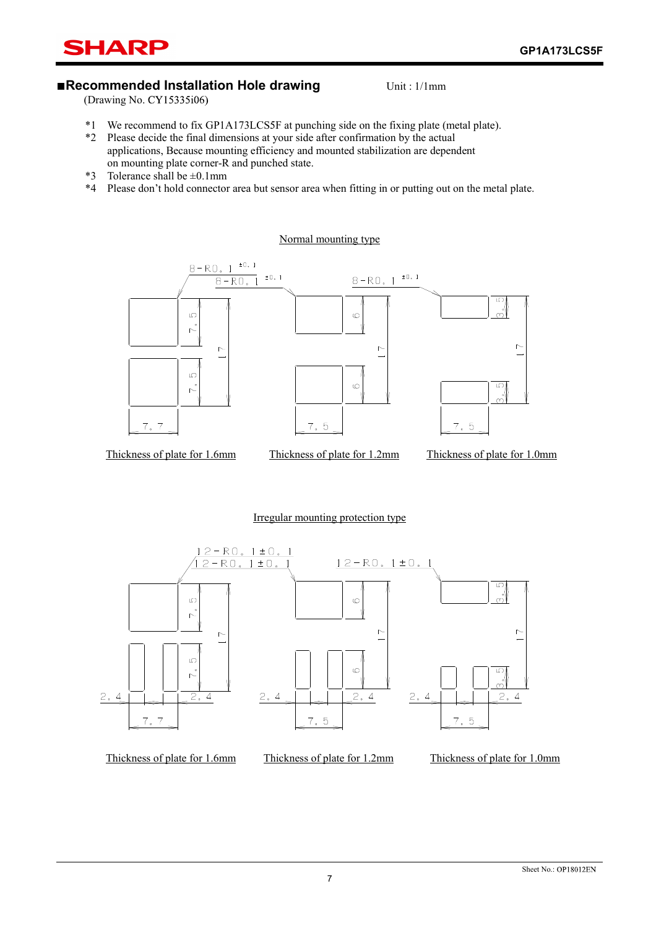

### **Recommended Installation Hole drawing** Unit: 1/1mm

 $(Drawing No. CY15335i06)$ 

- \*1 We recommend to fix GP1A173LCS3F at punching side on the fixing plate (metal plate).
- \*2 Please decide the final dimensions at your side after confirmation by the actual applications, Because mounting efficiency and mounted stabilization are dependent on mounting plate corner-R and punched state.
- \*3 Tolerance shall be  $\pm 0.1$ mm
- \*4 Please don't hold connector area but sensor area when fitting in or putting out on the metal plate.

Normal mounting type



#### Irregular mounting protection type

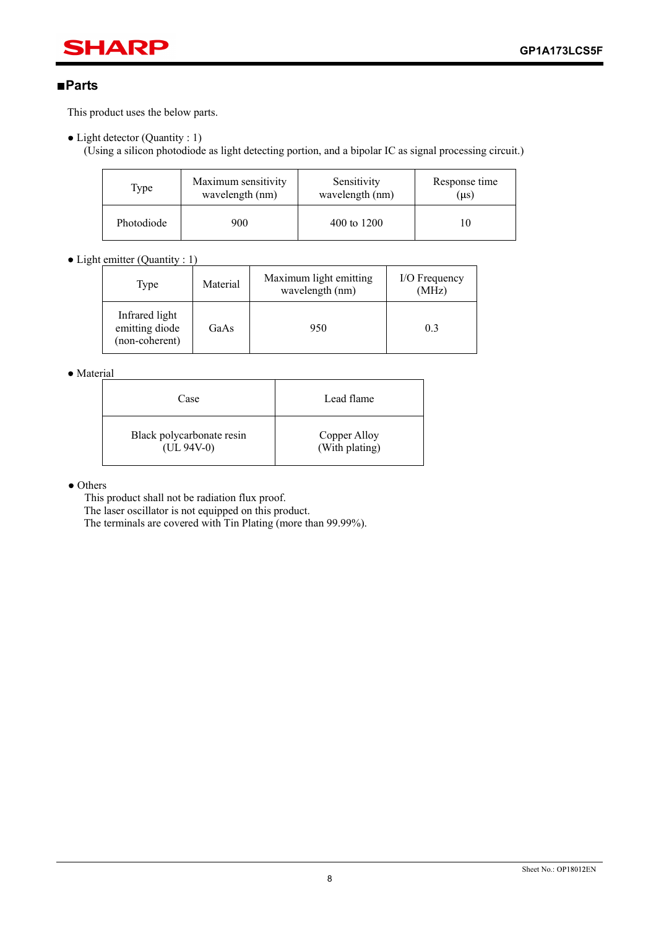## **SHARP**

### **Parts**

This product uses the below parts.

• Light detector (Quantity : 1)

(Using a silicon photodiode as light detecting portion, and a bipolar IC as signal processing circuit.)

| Type       | Maximum sensitivity | Sensitivity     | Response time |
|------------|---------------------|-----------------|---------------|
|            | wavelength (nm)     | wavelength (nm) | (µs)          |
| Photodiode | 900                 | 400 to 1200     |               |

 $\bullet$  Light emitter (Quantity : 1)

| Type                                               | Material | Maximum light emitting<br>wavelength (nm) | I/O Frequency<br>(MHz) |
|----------------------------------------------------|----------|-------------------------------------------|------------------------|
| Infrared light<br>emitting diode<br>(non-coherent) | GaAs     | 950                                       | 0.3                    |

#### • Material

| Case                      | Lead flame     |
|---------------------------|----------------|
| Black polycarbonate resin | Copper Alloy   |
| $(UL 94V-0)$              | (With plating) |

• Others

This product shall not be radiation flux proof.

The laser oscillator is not equipped on this product.

The terminals are covered with Tin Plating (more than 99.99%).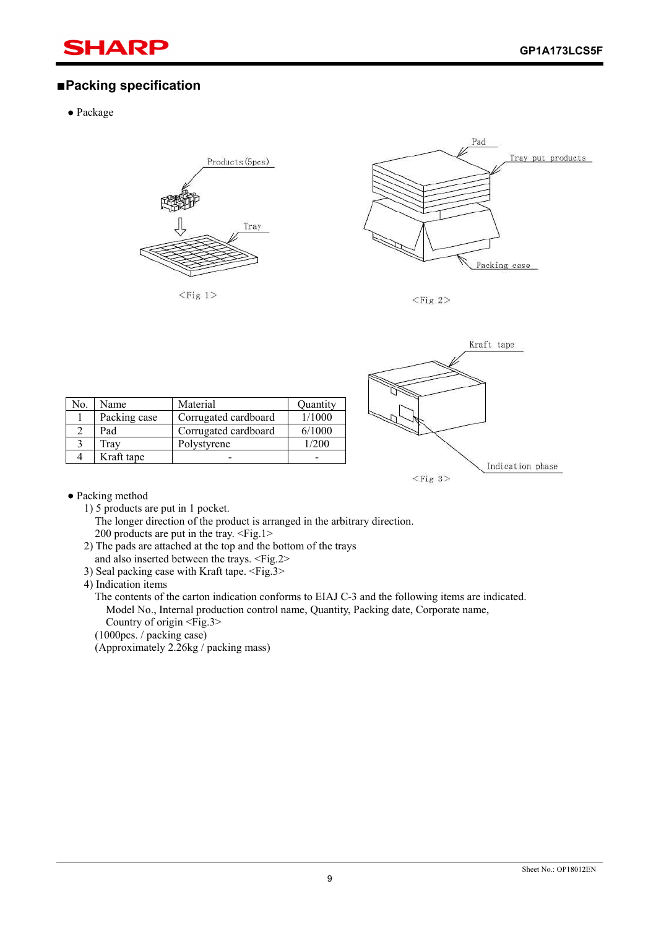### SHARI

### **Packing specification**

Package



 $<$ Fig 1>



 $<$ Fig 2>



| No. | Name         | Material             | Quantity |
|-----|--------------|----------------------|----------|
|     | Packing case | Corrugated cardboard | 1/1000   |
|     | Pad          | Corrugated cardboard | 6/1000   |
| 3   | Frav         | Polystyrene          | 1/200    |
| 4   | Kraft tape   |                      |          |

Packing method

1) 5 products are put in 1 pocket.

The longer direction of the product is arranged in the arbitrary direction. 200 products are put in the tray. <Fig.1>

- 2) The pads are attached at the top and the bottom of the trays and also inserted between the trays. <Fig.2>
- 3) Seal packing case with Kraft tape. <Fig.3>

4) Indication items

The contents of the carton indication conforms to EIAJ C-3 and the following items are indicated. Model No., Internal production control name, Quantity, Packing date, Corporate name,

Country of origin <Fig.3>

(1000pcs. / packing case)

(Approximately 2.26kg / packing mass)